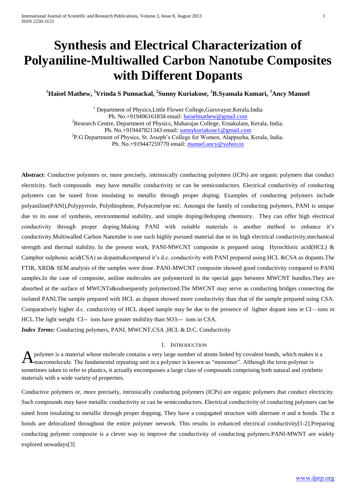# **Synthesis and Electrical Characterization of Polyaniline-Multiwalled Carbon Nanotube Composites with Different Dopants**

**<sup>1</sup>Haisel Mathew, <sup>2</sup>Vrinda S Punnackal, 2 Sunny Kuriakose, <sup>2</sup>B.Syamala Kumari, <sup>3</sup>Ancy Manuel**

 $1$  Department of Physics, Little Flower College, Guruvayur, Kerala, India Ph. No.+919496161834 email: [haiselmathew@gmail.com](mailto:haiselmathew@gmail.com) <sup>2</sup>Research Centre, Department of Physics, Maharajas College, Ernakulam, Kerala, India. Ph. No.+919447821343 email: [sunnykuriakose1@gmail.com](mailto:sunnykuriakose1@gmail.com) <sup>3</sup>P.G Department of Physics, St. Joseph's College for Women, Alappuzha, Kerala, India. Ph. No.+919447259770 email: [manuel.ancy@yahoo.in](mailto:manuel.ancy@yahoo.in)

**Abstract**: Conductive polymers or, more precisely, intrinsically conducting polymers (ICPs) are organic polymers that conduct electricity. Such compounds may have metallic conductivity or can be semiconductors. Electrical conductivity of conducting polymers can be tuned from insulating to metallic through proper doping. Examples of conducting polymers include polyaniline(PANI),Polypyrrole, Polythiophene, Polyacetelyne etc. Amongst the family of conducting polymers, PANI is unique due to its ease of synthesis, environmental stability, and simple doping/dedoping chemistry. They can offer high electrical conductivity through proper doping.Making PANI with suitable materials is another method to enhance it's conductivity.Multiwalled Carbon Nanotube is one such highly pursued material due to its high electrical conductivity,mechanical strength and thermal stability. In the present work, PANI-MWCNT composite is prepared using Hyrochloric acid(HCL) & Camphor sulphonic acid(CSA) as dopants&compared it's d.c. conductivity with PANI prepared using HCL &CSA as dopants.The FTIR, XRD& SEM analysis of the samples were done. PANI-MWCNT composite showed good conductivity compared to PANI samples.In the case of composite, aniline molecules are polymerized in the special gaps between MWCNT bundles.They are absorbed at the surface of MWCNTs&subsequently polymerized.The MWCNT may serve as conducting bridges connecting the isolated PANI.The sample prepared with HCL as dopant showed more conductivity than that of the sample prepared using CSA. Comparatively higher d.c. conductivity of HCL doped sample may be due to the presence of lighter dopant ions ie CI—ions in HCL.The light weight CI-- ions have greater mobility than SO3--- ions in CSA. *Index Terms:* Conducting polymers, PANI, MWCNT,CSA ,HCL & D.C. Conductivity

#### I. INTRODUCTION

polymer is a material whose molecule contains a very large number of atoms linked by covalent bonds, which makes it a A polymer is a material whose molecule contains a very large number of atoms linked by covalent bonds, which makes macromolecule. The fundamental repeating unit in a polymer is known as "monomer". Although the term polymer sometimes taken to refer to plastics, it actually encompasses a large class of compounds comprising both natural and synthetic materials with a wide variety of properties.

Conductive polymers or, more precisely, intrinsically conducting polymers (ICPs) are organic polymers that conduct electricity. Such compounds may have metallic conductivity or can be semiconductors. Electrical conductivity of conducting polymers can be tuned from insulating to metallic through proper dopping. They have a conjugated structure with alternate σ and π bonds. The π bonds are delocalized throughout the entire polymer network. This results in enhanced electrical conductivity[1-2]. Preparing conducting polymer composite is a clever way to improve the conductivity of conducting polymers.PANI-MWNT are widely explored nowadays[3]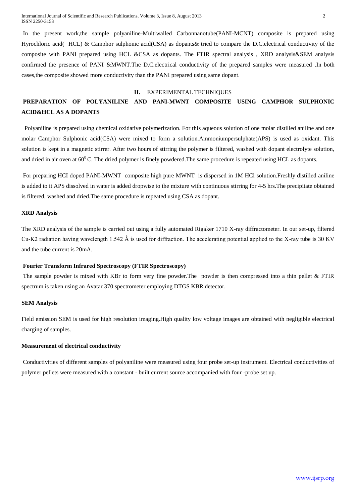In the present work,the sample polyaniline-Multiwalled Carbonnanotube(PANI-MCNT) composite is prepared using Hyrochloric acid( HCL) & Camphor sulphonic acid(CSA) as dopants& tried to compare the D.C.electrical conductivity of the composite with PANI prepared using HCL &CSA as dopants. The FTIR spectral analysis , XRD analysis&SEM analysis confirmed the presence of PANI &MWNT.The D.C.electrical conductivity of the prepared samples were measured .In both cases,the composite showed more conductivity than the PANI prepared using same dopant.

#### **II.** EXPERIMENTAL TECHNIQUES

# **PREPARATION OF POLYANILINE AND PANI-MWNT COMPOSITE USING CAMPHOR SULPHONIC ACID&HCL AS A DOPANTS**

Polyaniline is prepared using chemical oxidative polymerization. For this aqueous solution of one molar distilled aniline and one molar Camphor Sulphonic acid(CSA) were mixed to form a solution.Ammoniumpersulphate(APS) is used as oxidant. This solution is kept in a magnetic stirrer. After two hours of stirring the polymer is filtered, washed with dopant electrolyte solution, and dried in air oven at  $60^{\circ}$ C. The dried polymer is finely powdered. The same procedure is repeated using HCL as dopants.

For preparing HCI doped PANI-MWNT composite high pure MWNT is dispersed in 1M HCl solution.Freshly distilled aniline is added to it.APS dissolved in water is added dropwise to the mixture with continuous stirring for 4-5 hrs.The precipitate obtained is filtered, washed and dried.The same procedure is repeated using CSA as dopant.

#### **XRD Analysis**

The XRD analysis of the sample is carried out using a fully automated Rigaker 1710 X-ray diffractometer. In our set-up, filtered Cu-K2 radiation having wavelength 1.542 Å is used for diffraction. The accelerating potential applied to the X-ray tube is 30 KV and the tube current is 20mA.

# **Fourier Transform Infrared Spectroscopy (FTIR Spectroscopy)**

The sample powder is mixed with KBr to form very fine powder.The powder is then compressed into a thin pellet & FTIR spectrum is taken using an Avatar 370 spectrometer employing DTGS KBR detector.

#### **SEM Analysis**

Field emission SEM is used for high resolution imaging.High quality low voltage images are obtained with negligible electrical charging of samples.

# **Measurement of electrical conductivity**

Conductivities of different samples of polyaniline were measured using four probe set-up instrument. Electrical conductivities of polymer pellets were measured with a constant - built current source accompanied with four -probe set up.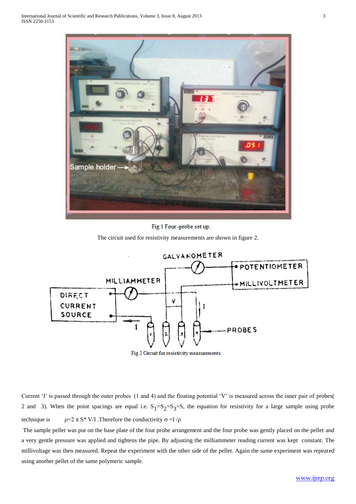

Fig 1 Four-probe set up.

The circuit used for resistivity measurements are shown in figure 2.



Fig 2 Circuit for resistivity measurements

Current 'I' is passed through the outer probes (1 and 4) and the floating potential 'V' is measured across the inner pair of probes( 2 and 3). When the point spacings are equal i.e.  $S_1 = S_2 = S_3 = S$ , the equation for resistivity for a large sample using probe technique is  $\rho=2 \pi S^* V/I$  . Therefore the conductivity  $\sigma=I/\rho$ 

The sample pellet was put on the base plate of the four probe arrangement and the four probe was gently placed on the pellet and a very gentle pressure was applied and tightens the pipe. By adjusting the milliammeter reading current was kept constant. The millivoltage was then measured. Repeat the experiment with the other side of the pellet. Again the same experiment was repeated using another pellet of the same polymeric sample.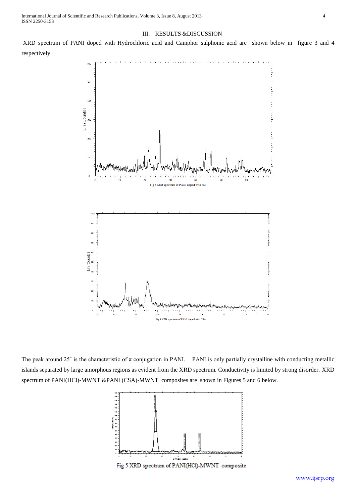# III. RESULTS &DISCUSSION

XRD spectrum of PANI doped with Hydrochloric acid and Camphor sulphonic acid are shown below in figure 3 and 4 respectively.



The peak around 25 $\degree$  is the characteristic of  $\pi$  conjugation in PANI. PANI is only partially crystalline with conducting metallic islands separated by large amorphous regions as evident from the XRD spectrum. Conductivity is limited by strong disorder. XRD spectrum of PANI(HCl)-MWNT &PANI (CSA)-MWNT composites are shown in Figures 5 and 6 below.

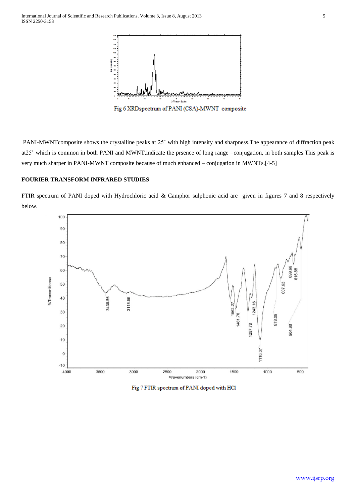

PANI-MWNTcomposite shows the crystalline peaks at 25˚ with high intensity and sharpness.The appearance of diffraction peak at25˚ which is common in both PANI and MWNT,indicate the prsence of long range –conjugation, in both samples.This peak is very much sharper in PANI-MWNT composite because of much enhanced – conjugation in MWNTs.[4-5]

# **FOURIER TRANSFORM INFRARED STUDIES**

FTIR spectrum of PANI doped with Hydrochloric acid & Camphor sulphonic acid are given in figures 7 and 8 respectively below.



Fig 7 FTIR spectrum of PANI doped with HCl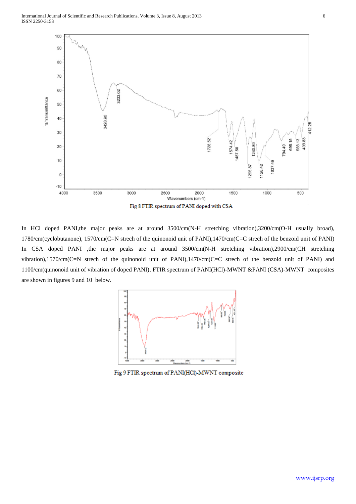

In HCl doped PANI, the major peaks are at around 3500/cm(N-H stretching vibration), 3200/cm(O-H usually broad), 1780/cm(cyclobutanone), 1570/cm(C=N strech of the quinonoid unit of PANI),1470/cm(C=C strech of the benzoid unit of PANI) In CSA doped PANI ,the major peaks are at around 3500/cm(N-H stretching vibration),2900/cm(CH stretching vibration),1570/cm(C=N strech of the quinonoid unit of PANI),1470/cm(C=C strech of the benzoid unit of PANI) and 1100/cm(quinonoid unit of vibration of doped PANI). FTIR spectrum of PANI(HCl)-MWNT &PANI (CSA)-MWNT composites are shown in figures 9 and 10 below.



Fig 9 FTIR spectrum of PANI(HCl)-MWNT composite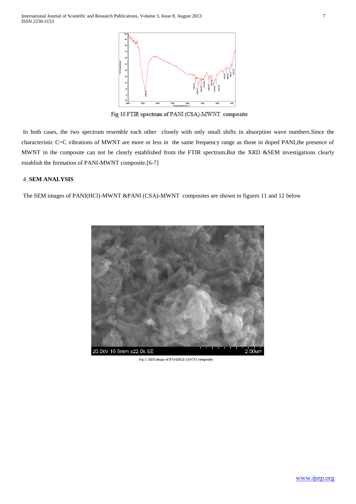

Fig 10 FTIR spectrum of PANI (CSA)-MWNT composite

In both cases, the two spectrum resemble each other closely with only small shifts in absorption wave numbers.Since the characteristic C=C vibrations of MWNT are more or less in the same frequency range as those in doped PANI,the presence of MWNT in the composite can not be clearly established from the FTIR spectrum**.**But the XRD &SEM investigations clearly establish the formation of PANI-MWNT composite.[6-7]

# 4 .**SEM ANALYSIS**

The SEM images of PANI(HCl)-MWNT &PANI (CSA)-MWNT composites are shown in figures 11 and 12 below



Fig 11 SEM image of PANI(HCl)-MWNT composite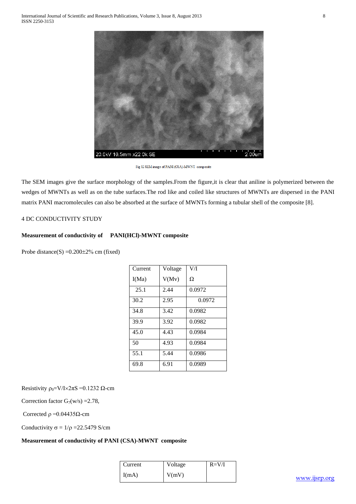

Fig 12 SEM image of PANI (CSA)-MWNT composite

The SEM images give the surface morphology of the samples.From the figure,it is clear that aniline is polymerized between the wedges of MWNTs as well as on the tube surfaces.The rod like and coiled like structures of MWNTs are dispersed in the PANI matrix PANI macromolecules can also be absorbed at the surface of MWNTs forming a tubular shell of the composite [8].

# 4 DC CONDUCTIVITY STUDY

# **Measurement of conductivity of PANI(HCl)-MWNT composite**

Probe distance(S) = $0.200 \pm 2\%$  cm (fixed)

| V(Mv)<br>Ω<br>I(Ma)<br>0.0972<br>25.1<br>2.44<br>2.95<br>30.2<br>0.0972<br>0.0982<br>3.42<br>34.8<br>0.0982<br>39.9<br>3.92<br>0.0984<br>45.0<br>4.43<br>50<br>0.0984<br>4.93<br>0.0986<br>55.1<br>5.44<br>0.0989<br>69.8<br>6.91 | Current | Voltage | VЛ |
|-----------------------------------------------------------------------------------------------------------------------------------------------------------------------------------------------------------------------------------|---------|---------|----|
|                                                                                                                                                                                                                                   |         |         |    |
|                                                                                                                                                                                                                                   |         |         |    |
|                                                                                                                                                                                                                                   |         |         |    |
|                                                                                                                                                                                                                                   |         |         |    |
|                                                                                                                                                                                                                                   |         |         |    |
|                                                                                                                                                                                                                                   |         |         |    |
|                                                                                                                                                                                                                                   |         |         |    |
|                                                                                                                                                                                                                                   |         |         |    |
|                                                                                                                                                                                                                                   |         |         |    |

Resistivity  $\rho_0=V/I\times 2\pi S = 0.1232 \Omega$ -cm

Correction factor  $G_7(w/s) = 2.78$ ,

Corrected  $ρ = 0.04435Ω$ -cm

Conductivity  $\sigma = 1/\rho = 22.5479$  S/cm

## **Measurement of conductivity of PANI (CSA)-MWNT composite**

| Current | Voltage | $R=V/I$ |
|---------|---------|---------|
| I(mA)   | V(mV)   |         |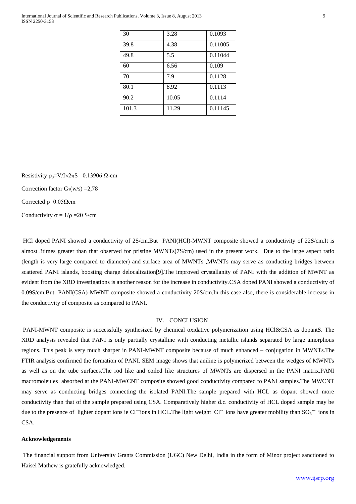International Journal of Scientific and Research Publications, Volume 3, Issue 8, August 2013 9 ISSN 2250-3153

| 30    | 3.28  | 0.1093  |
|-------|-------|---------|
| 39.8  | 4.38  | 0.11005 |
| 49.8  | 5.5   | 0.11044 |
| 60    | 6.56  | 0.109   |
| 70    | 7.9   | 0.1128  |
| 80.1  | 8.92  | 0.1113  |
| 90.2  | 10.05 | 0.1114  |
| 101.3 | 11.29 | 0.11145 |

Resistivity  $\rho_0=V/I\times 2\pi S = 0.13906 \Omega$ -cm Correction factor  $G_7(w/s) = 2,78$ Corrected  $ρ=0.05Ω$ cm Conductivity  $\sigma = 1/\rho = 20$  S/cm

HCl doped PANI showed a conductivity of 2S/cm.But PANI(HCl)-MWNT composite showed a conductivity of 22S/cm.It is almost 3times greater than that observed for pristine MWNTs(7S/cm) used in the present work. Due to the large aspect ratio (length is very large compared to diameter) and surface area of MWNTs ,MWNTs may serve as conducting bridges between scattered PANI islands, boosting charge delocalization[9].The improved crystallanity of PANI with the addition of MWNT as evident from the XRD investigations is another reason for the increase in conductivity.CSA doped PANI showed a conductivity of 0.09S/cm.But PANI(CSA)-MWNT composite showed a conductivity 20S/cm.In this case also, there is considerable increase in the conductivity of composite as compared to PANI.

#### IV. CONCLUSION

PANI-MWNT composite is successfully synthesized by chemical oxidative polymerization using HCl&CSA as dopantS. The XRD analysis revealed that PANI is only partially crystalline with conducting metallic islands separated by large amorphous regions. This peak is very much sharper in PANI-MWNT composite because of much enhanced – conjugation in MWNTs.The FTIR analysis confirmed the formation of PANI. SEM image shows that aniline is polymerized between the wedges of MWNTs as well as on the tube surfaces.The rod like and coiled like structures of MWNTs are dispersed in the PANI matrix.PANI macromoleules absorbed at the PANI-MWCNT composite showed good conductivity compared to PANI samples.The MWCNT may serve as conducting bridges connecting the isolated PANI.The sample prepared with HCL as dopant showed more conductivity than that of the sample prepared using CSA. Comparatively higher d.c. conductivity of HCL doped sample may be due to the presence of lighter dopant ions ie CI ions in HCL. The light weight CI ions have greater mobility than  $SO_3$  ions in CSA.

#### **Acknowledgements**

The financial support from University Grants Commission (UGC) New Delhi, India in the form of Minor project sanctioned to Haisel Mathew is gratefully acknowledged.